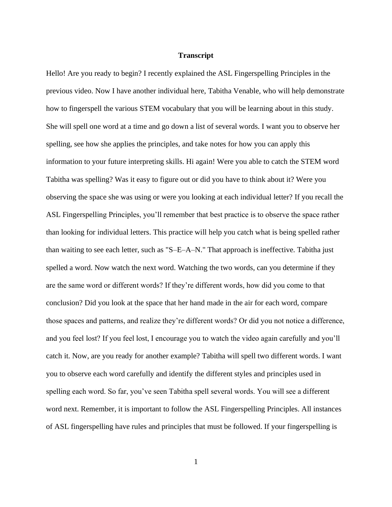## **Transcript**

Hello! Are you ready to begin? I recently explained the ASL Fingerspelling Principles in the previous video. Now I have another individual here, Tabitha Venable, who will help demonstrate how to fingerspell the various STEM vocabulary that you will be learning about in this study. She will spell one word at a time and go down a list of several words. I want you to observe her spelling, see how she applies the principles, and take notes for how you can apply this information to your future interpreting skills. Hi again! Were you able to catch the STEM word Tabitha was spelling? Was it easy to figure out or did you have to think about it? Were you observing the space she was using or were you looking at each individual letter? If you recall the ASL Fingerspelling Principles, you'll remember that best practice is to observe the space rather than looking for individual letters. This practice will help you catch what is being spelled rather than waiting to see each letter, such as "S–E–A–N." That approach is ineffective. Tabitha just spelled a word. Now watch the next word. Watching the two words, can you determine if they are the same word or different words? If they're different words, how did you come to that conclusion? Did you look at the space that her hand made in the air for each word, compare those spaces and patterns, and realize they're different words? Or did you not notice a difference, and you feel lost? If you feel lost, I encourage you to watch the video again carefully and you'll catch it. Now, are you ready for another example? Tabitha will spell two different words. I want you to observe each word carefully and identify the different styles and principles used in spelling each word. So far, you've seen Tabitha spell several words. You will see a different word next. Remember, it is important to follow the ASL Fingerspelling Principles. All instances of ASL fingerspelling have rules and principles that must be followed. If your fingerspelling is